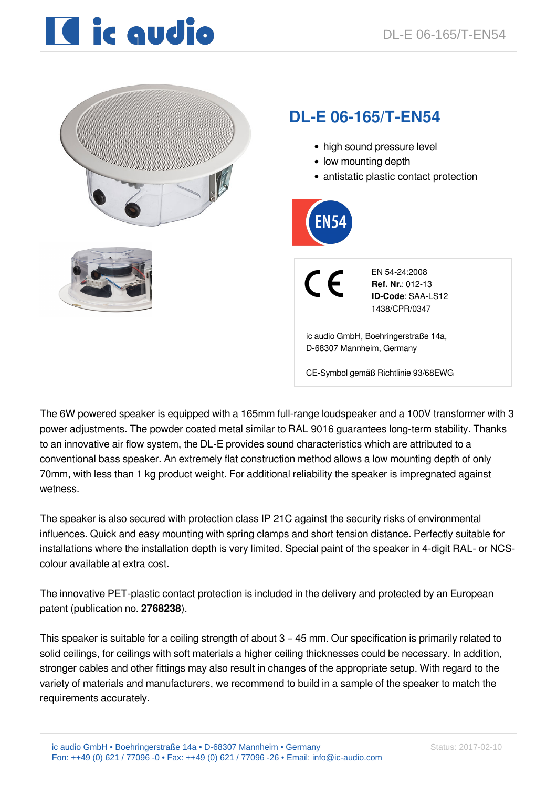# I ic audio



The 6W powered speaker is equipped with a 165mm full-range loudspeaker and a 100V transformer with 3 power adjustments. The powder coated metal similar to RAL 9016 guarantees long-term stability. Thanks to an innovative air flow system, the DL-E provides sound characteristics which are attributed to a conventional bass speaker. An extremely flat construction method allows a low mounting depth of only 70mm, with less than 1 kg product weight. For additional reliability the speaker is impregnated against wetness.

The speaker is also secured with protection class IP 21C against the security risks of environmental influences. Quick and easy mounting with spring clamps and short tension distance. Perfectly suitable for installations where the installation depth is very limited. Special paint of the speaker in 4-digit RAL- or NCScolour available at extra cost.

The innovative PET-plastic contact protection is included in the delivery and protected by an European patent (publication no. **2768238**).

This speaker is suitable for a ceiling strength of about 3 – 45 mm. Our specification is primarily related to solid ceilings, for ceilings with soft materials a higher ceiling thicknesses could be necessary. In addition, stronger cables and other fittings may also result in changes of the appropriate setup. With regard to the variety of materials and manufacturers, we recommend to build in a sample of the speaker to match the requirements accurately.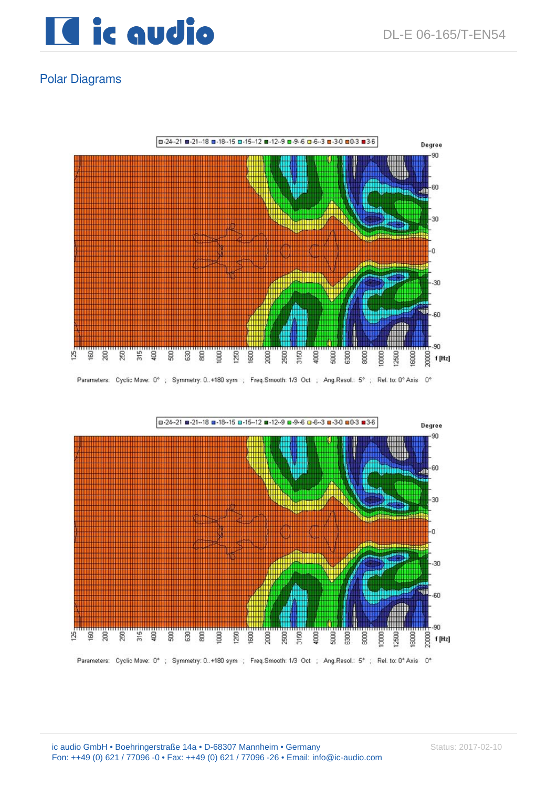

## Polar Diagrams



Parameters: Cyclic Move: 0°; Symmetry: 0..+180 sym ; Freq.Smooth: 1/3 Oct ; Ang.Resol.: 5°; Rel. to: 0° Axis 0°

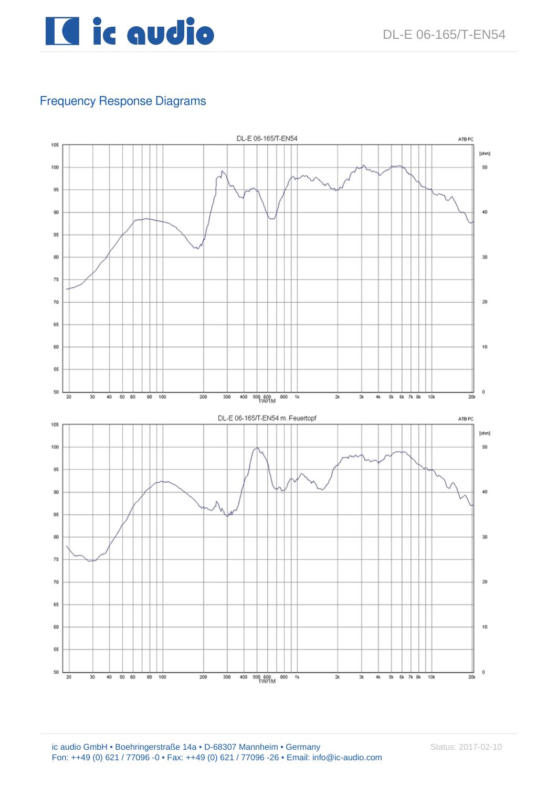

## Frequency Response Diagrams

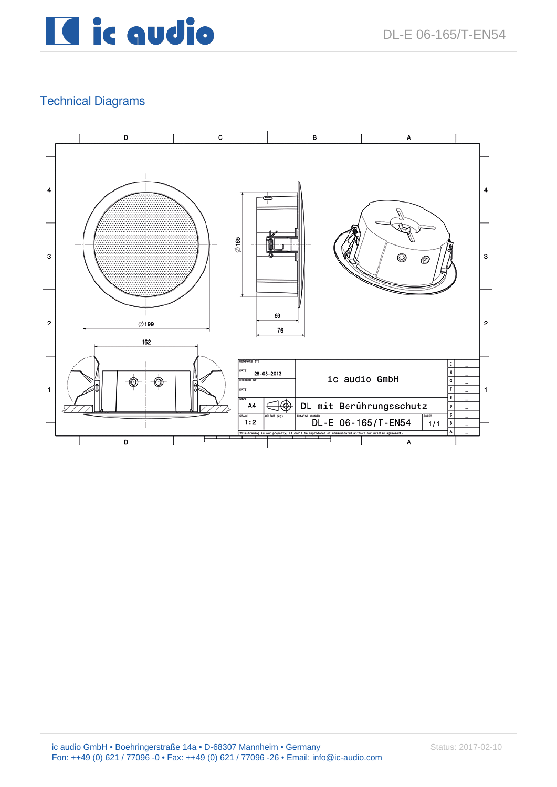## Il ic audio

## Technical Diagrams

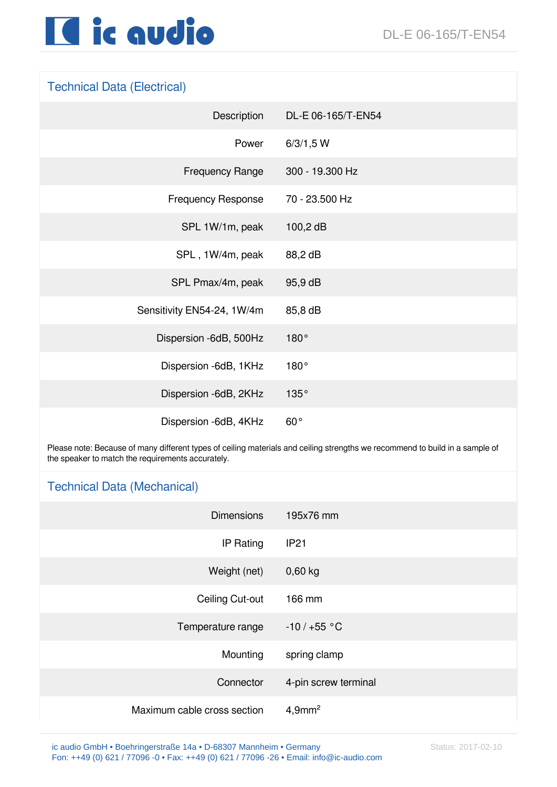

### Technical Data (Electrical)

| Description                | DL-E 06-165/T-EN54 |
|----------------------------|--------------------|
| Power                      | 6/3/1,5 W          |
| <b>Frequency Range</b>     | 300 - 19.300 Hz    |
| <b>Frequency Response</b>  | 70 - 23.500 Hz     |
| SPL 1W/1m, peak            | $100,2$ dB         |
| SPL, 1W/4m, peak           | 88,2 dB            |
| SPL Pmax/4m, peak          | 95,9 dB            |
| Sensitivity EN54-24, 1W/4m | 85,8 dB            |
| Dispersion -6dB, 500Hz     | 180°               |
| Dispersion -6dB, 1KHz      | 180°               |
| Dispersion -6dB, 2KHz      | 135°               |
| Dispersion -6dB, 4KHz      | $60^{\circ}$       |

Please note: Because of many different types of ceiling materials and ceiling strengths we recommend to build in a sample of the speaker to match the requirements accurately.

#### Technical Data (Mechanical)

| <b>Dimensions</b>           | 195x76 mm             |
|-----------------------------|-----------------------|
| IP Rating                   | <b>IP21</b>           |
| Weight (net)                | $0,60$ kg             |
| Ceiling Cut-out             | 166 mm                |
| Temperature range           | $-10/+55 °C$          |
| Mounting                    | spring clamp          |
| Connector                   | 4-pin screw terminal  |
| Maximum cable cross section | $4,9$ mm <sup>2</sup> |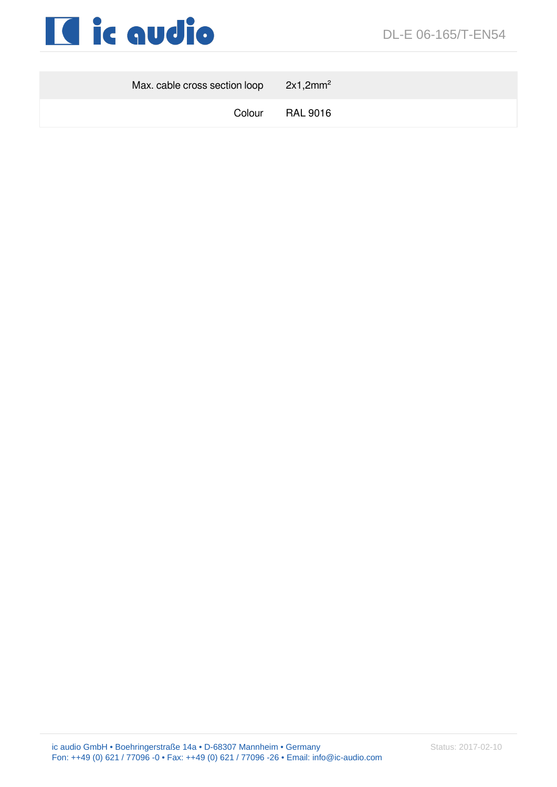

| Max. cable cross section loop $2x1,2mm^2$ |                 |
|-------------------------------------------|-----------------|
|                                           | Colour RAL 9016 |